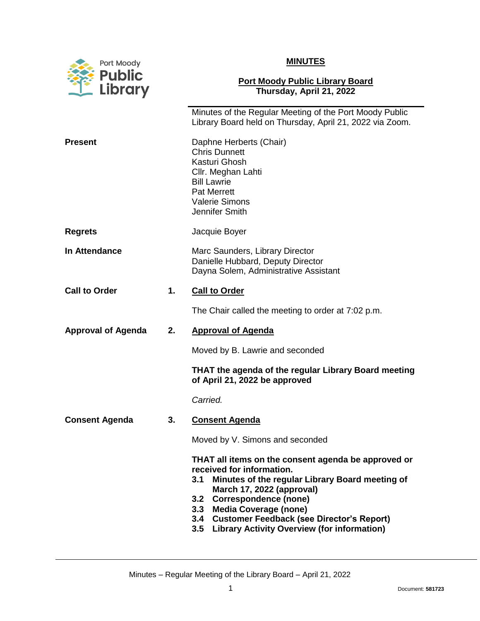

## **MINUTES**

## **Port Moody Public Library Board Thursday, April 21, 2022**

|                           |    | Minutes of the Regular Meeting of the Port Moody Public<br>Library Board held on Thursday, April 21, 2022 via Zoom.                                                                                                                                                                                                                                                 |
|---------------------------|----|---------------------------------------------------------------------------------------------------------------------------------------------------------------------------------------------------------------------------------------------------------------------------------------------------------------------------------------------------------------------|
| <b>Present</b>            |    | Daphne Herberts (Chair)<br><b>Chris Dunnett</b><br>Kasturi Ghosh<br>Cllr. Meghan Lahti<br><b>Bill Lawrie</b><br><b>Pat Merrett</b><br><b>Valerie Simons</b><br>Jennifer Smith                                                                                                                                                                                       |
| <b>Regrets</b>            |    | Jacquie Boyer                                                                                                                                                                                                                                                                                                                                                       |
| In Attendance             |    | Marc Saunders, Library Director<br>Danielle Hubbard, Deputy Director<br>Dayna Solem, Administrative Assistant                                                                                                                                                                                                                                                       |
| <b>Call to Order</b>      | 1. | <b>Call to Order</b>                                                                                                                                                                                                                                                                                                                                                |
|                           |    | The Chair called the meeting to order at 7:02 p.m.                                                                                                                                                                                                                                                                                                                  |
| <b>Approval of Agenda</b> | 2. | <b>Approval of Agenda</b>                                                                                                                                                                                                                                                                                                                                           |
|                           |    |                                                                                                                                                                                                                                                                                                                                                                     |
|                           |    | Moved by B. Lawrie and seconded                                                                                                                                                                                                                                                                                                                                     |
|                           |    | THAT the agenda of the regular Library Board meeting<br>of April 21, 2022 be approved                                                                                                                                                                                                                                                                               |
|                           |    | Carried.                                                                                                                                                                                                                                                                                                                                                            |
| <b>Consent Agenda</b>     | 3. | <b>Consent Agenda</b>                                                                                                                                                                                                                                                                                                                                               |
|                           |    | Moved by V. Simons and seconded                                                                                                                                                                                                                                                                                                                                     |
|                           |    | THAT all items on the consent agenda be approved or<br>received for information.<br>Minutes of the regular Library Board meeting of<br>3.1<br>March 17, 2022 (approval)<br><b>Correspondence (none)</b><br>3.2<br><b>Media Coverage (none)</b><br>3.3<br><b>Customer Feedback (see Director's Report)</b><br>3.4<br>3.5 Library Activity Overview (for information) |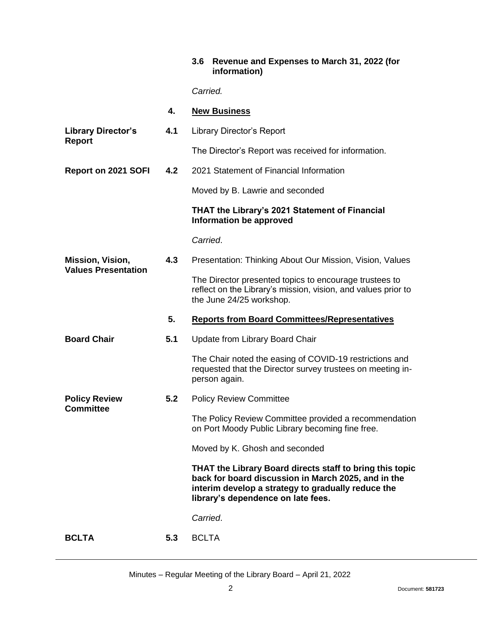## **3.6 Revenue and Expenses to March 31, 2022 (for information)**

*Carried.*

|                                                | 4.  | <b>New Business</b>                                                                                                                                                                                         |
|------------------------------------------------|-----|-------------------------------------------------------------------------------------------------------------------------------------------------------------------------------------------------------------|
| <b>Library Director's</b><br><b>Report</b>     | 4.1 | <b>Library Director's Report</b>                                                                                                                                                                            |
|                                                |     | The Director's Report was received for information.                                                                                                                                                         |
| <b>Report on 2021 SOFI</b>                     | 4.2 | 2021 Statement of Financial Information                                                                                                                                                                     |
|                                                |     | Moved by B. Lawrie and seconded                                                                                                                                                                             |
|                                                |     | THAT the Library's 2021 Statement of Financial<br>Information be approved                                                                                                                                   |
|                                                |     | Carried.                                                                                                                                                                                                    |
| Mission, Vision,<br><b>Values Presentation</b> | 4.3 | Presentation: Thinking About Our Mission, Vision, Values                                                                                                                                                    |
|                                                |     | The Director presented topics to encourage trustees to<br>reflect on the Library's mission, vision, and values prior to<br>the June 24/25 workshop.                                                         |
|                                                | 5.  | <b>Reports from Board Committees/Representatives</b>                                                                                                                                                        |
| <b>Board Chair</b>                             | 5.1 | Update from Library Board Chair                                                                                                                                                                             |
|                                                |     | The Chair noted the easing of COVID-19 restrictions and<br>requested that the Director survey trustees on meeting in-<br>person again.                                                                      |
| <b>Policy Review</b><br><b>Committee</b>       | 5.2 | <b>Policy Review Committee</b>                                                                                                                                                                              |
|                                                |     | The Policy Review Committee provided a recommendation<br>on Port Moody Public Library becoming fine free.                                                                                                   |
|                                                |     | Moved by K. Ghosh and seconded                                                                                                                                                                              |
|                                                |     | THAT the Library Board directs staff to bring this topic<br>back for board discussion in March 2025, and in the<br>interim develop a strategy to gradually reduce the<br>library's dependence on late fees. |
|                                                |     | Carried.                                                                                                                                                                                                    |
| <b>BCLTA</b>                                   | 5.3 | <b>BCLTA</b>                                                                                                                                                                                                |